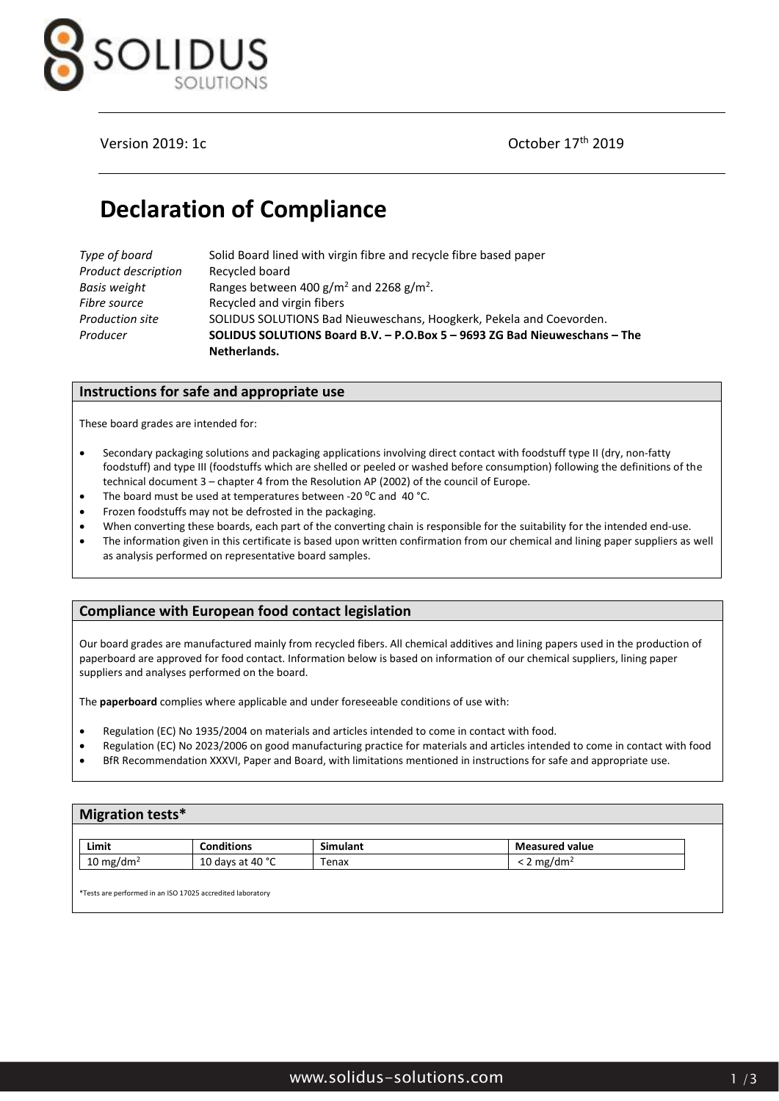

## Version 2019: 1c **October 17th** 2019

# **Declaration of Compliance**

| Type of board       | Solid Board lined with virgin fibre and recycle fibre based paper         |  |  |
|---------------------|---------------------------------------------------------------------------|--|--|
| Product description | Recycled board                                                            |  |  |
| Basis weight        | Ranges between 400 g/m <sup>2</sup> and 2268 g/m <sup>2</sup> .           |  |  |
| Fibre source        | Recycled and virgin fibers                                                |  |  |
| Production site     | SOLIDUS SOLUTIONS Bad Nieuweschans, Hoogkerk, Pekela and Coevorden.       |  |  |
| Producer            | SOLIDUS SOLUTIONS Board B.V. - P.O.Box 5 - 9693 ZG Bad Nieuweschans - The |  |  |
|                     | Netherlands.                                                              |  |  |

## **Instructions for safe and appropriate use**

These board grades are intended for:

- Secondary packaging solutions and packaging applications involving direct contact with foodstuff type II (dry, non-fatty foodstuff) and type III (foodstuffs which are shelled or peeled or washed before consumption) following the definitions of the technical document 3 – chapter 4 from the Resolution AP (2002) of the council of Europe.
- The board must be used at temperatures between -20 °C and 40 °C.
- Frozen foodstuffs may not be defrosted in the packaging.
- When converting these boards, each part of the converting chain is responsible for the suitability for the intended end-use.
- The information given in this certificate is based upon written confirmation from our chemical and lining paper suppliers as well as analysis performed on representative board samples.

## **Compliance with European food contact legislation**

Our board grades are manufactured mainly from recycled fibers. All chemical additives and lining papers used in the production of paperboard are approved for food contact. Information below is based on information of our chemical suppliers, lining paper suppliers and analyses performed on the board.

The **paperboard** complies where applicable and under foreseeable conditions of use with:

- Regulation (EC) No 1935/2004 on materials and articles intended to come in contact with food.
- Regulation (EC) No 2023/2006 on good manufacturing practice for materials and articles intended to come in contact with food
- BfR Recommendation XXXVI, Paper and Board, with limitations mentioned in instructions for safe and appropriate use.

## **Migration tests\***

| Limit                | conditions."                     | . .<br>Simulant | <b>Measured value</b>          |
|----------------------|----------------------------------|-----------------|--------------------------------|
| $10 \text{ mg/dm}^2$ | .40 °C<br>⊥∪ davs er<br>$\neg$ + | Tenax           | mg/dm <sup>2</sup><br><u>_</u> |

\*Tests are performed in an ISO 17025 accredited laboratory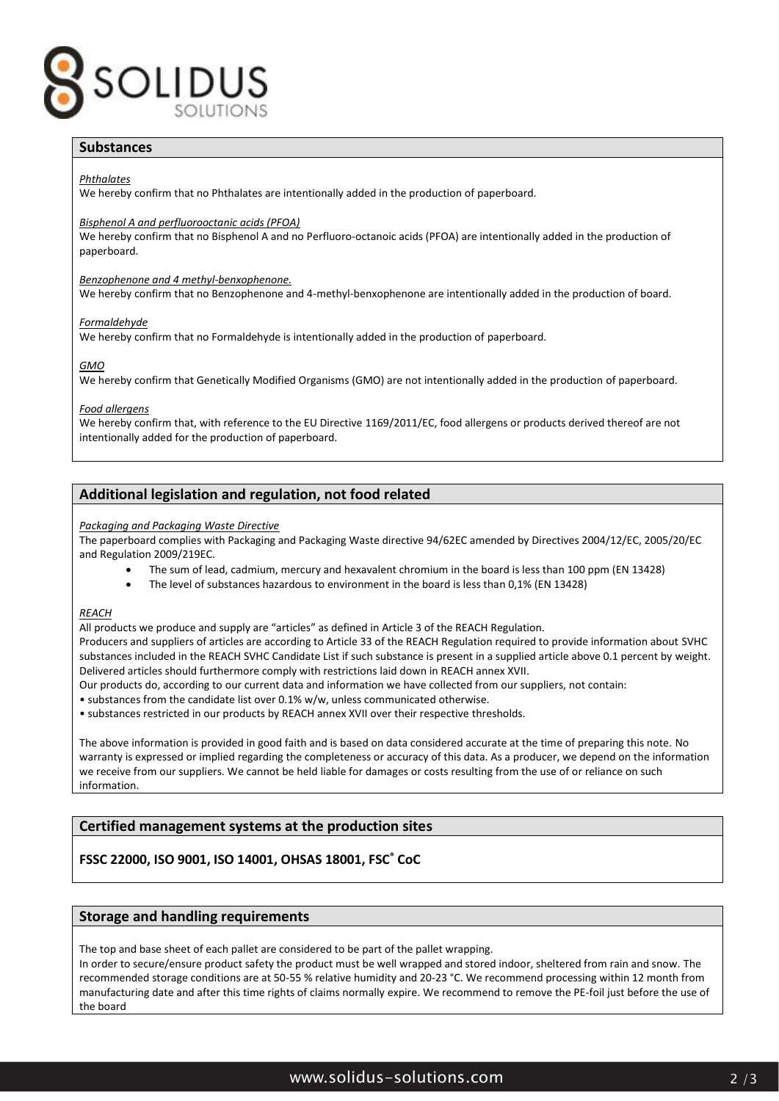

## **Substances**

*Phthalates*

We hereby confirm that no Phthalates are intentionally added in the production of paperboard.

#### *Bisphenol A and perfluorooctanic acids (PFOA)*

We hereby confirm that no Bisphenol A and no Perfluoro-octanoic acids (PFOA) are intentionally added in the production of paperboard.

#### *Benzophenone and 4 methyl-benxophenone.*

We hereby confirm that no Benzophenone and 4-methyl-benxophenone are intentionally added in the production of board.

#### *Formaldehyde*

We hereby confirm that no Formaldehyde is intentionally added in the production of paperboard.

#### *GMO*

We hereby confirm that Genetically Modified Organisms (GMO) are not intentionally added in the production of paperboard.

#### *Food allergens*

We hereby confirm that, with reference to the EU Directive 1169/2011/EC, food allergens or products derived thereof are not intentionally added for the production of paperboard.

## **Additional legislation and regulation, not food related**

#### *Packaging and Packaging Waste Directive*

The paperboard complies with Packaging and Packaging Waste directive 94/62EC amended by Directives 2004/12/EC, 2005/20/EC and Regulation 2009/219EC.

- The sum of lead, cadmium, mercury and hexavalent chromium in the board is less than 100 ppm (EN 13428)
- The level of substances hazardous to environment in the board is less than 0,1% (EN 13428)

#### *REACH*

All products we produce and supply are "articles" as defined in Article 3 of the REACH Regulation.

Producers and suppliers of articles are according to Article 33 of the REACH Regulation required to provide information about SVHC substances included in the REACH SVHC Candidate List if such substance is present in a supplied article above 0.1 percent by weight. Delivered articles should furthermore comply with restrictions laid down in REACH annex XVII.

- Our products do, according to our current data and information we have collected from our suppliers, not contain:
- substances from the candidate list over 0.1% w/w, unless communicated otherwise.

• substances restricted in our products by REACH annex XVII over their respective thresholds.

The above information is provided in good faith and is based on data considered accurate at the time of preparing this note. No warranty is expressed or implied regarding the completeness or accuracy of this data. As a producer, we depend on the information we receive from our suppliers. We cannot be held liable for damages or costs resulting from the use of or reliance on such information.

## **Certified management systems at the production sites**

## **FSSC 22000, ISO 9001, ISO 14001, OHSAS 18001, FSC® CoC**

## **Storage and handling requirements**

The top and base sheet of each pallet are considered to be part of the pallet wrapping.

In order to secure/ensure product safety the product must be well wrapped and stored indoor, sheltered from rain and snow. The recommended storage conditions are at 50-55 % relative humidity and 20-23 °C. We recommend processing within 12 month from manufacturing date and after this time rights of claims normally expire. We recommend to remove the PE-foil just before the use of the board